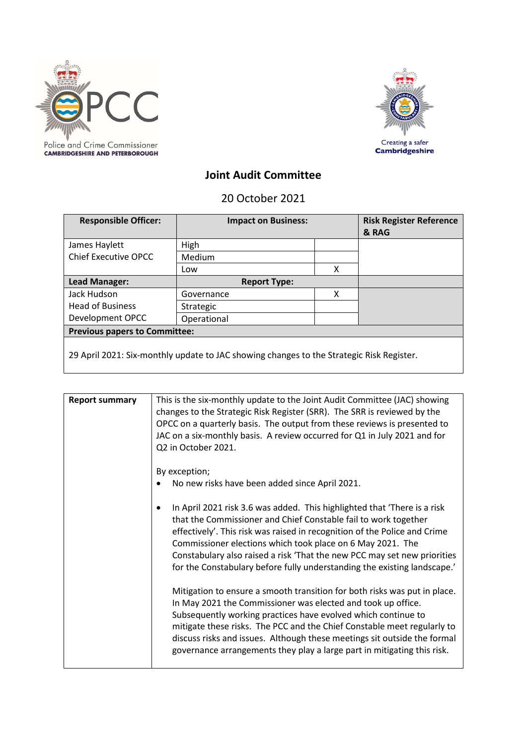



## **Joint Audit Committee**

20 October 2021

| <b>Responsible Officer:</b>                                                              | <b>Impact on Business:</b> |   | <b>Risk Register Reference</b><br>& RAG |
|------------------------------------------------------------------------------------------|----------------------------|---|-----------------------------------------|
| James Haylett                                                                            | High                       |   |                                         |
| <b>Chief Executive OPCC</b>                                                              | Medium                     |   |                                         |
|                                                                                          | Low                        | x |                                         |
| Lead Manager:                                                                            | <b>Report Type:</b>        |   |                                         |
| Jack Hudson                                                                              | Governance                 | x |                                         |
| <b>Head of Business</b>                                                                  | Strategic                  |   |                                         |
| Development OPCC                                                                         | Operational                |   |                                         |
| <b>Previous papers to Committee:</b>                                                     |                            |   |                                         |
| 29 April 2021: Six-monthly update to JAC showing changes to the Strategic Risk Register. |                            |   |                                         |

| <b>Report summary</b> | This is the six-monthly update to the Joint Audit Committee (JAC) showing<br>changes to the Strategic Risk Register (SRR). The SRR is reviewed by the<br>OPCC on a quarterly basis. The output from these reviews is presented to<br>JAC on a six-monthly basis. A review occurred for Q1 in July 2021 and for                                                                                                                                 |
|-----------------------|------------------------------------------------------------------------------------------------------------------------------------------------------------------------------------------------------------------------------------------------------------------------------------------------------------------------------------------------------------------------------------------------------------------------------------------------|
|                       | Q2 in October 2021.<br>By exception;<br>No new risks have been added since April 2021.                                                                                                                                                                                                                                                                                                                                                         |
|                       | In April 2021 risk 3.6 was added. This highlighted that 'There is a risk<br>that the Commissioner and Chief Constable fail to work together<br>effectively'. This risk was raised in recognition of the Police and Crime<br>Commissioner elections which took place on 6 May 2021. The<br>Constabulary also raised a risk 'That the new PCC may set new priorities<br>for the Constabulary before fully understanding the existing landscape.' |
|                       | Mitigation to ensure a smooth transition for both risks was put in place.<br>In May 2021 the Commissioner was elected and took up office.<br>Subsequently working practices have evolved which continue to<br>mitigate these risks. The PCC and the Chief Constable meet regularly to<br>discuss risks and issues. Although these meetings sit outside the formal<br>governance arrangements they play a large part in mitigating this risk.   |